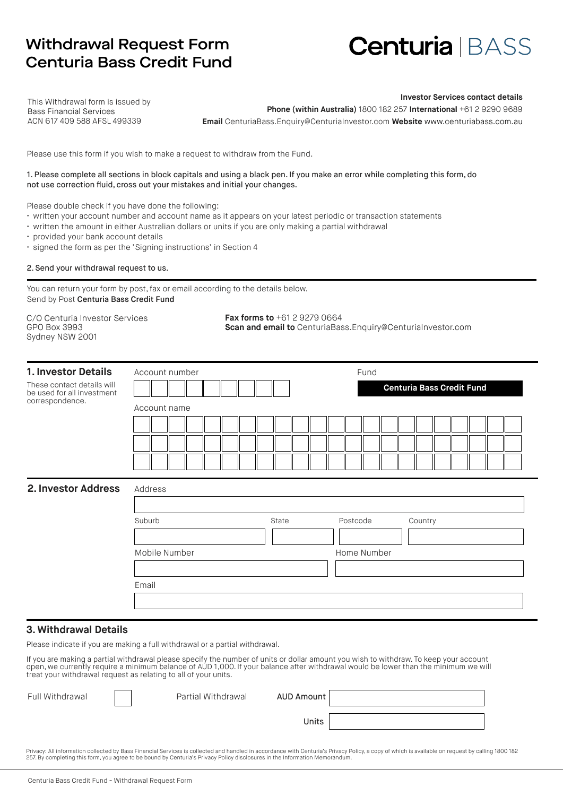# Withdrawal Request Form Centuria Bass Credit Fund

# **Centuria** BASS

This Withdrawal form is issued by Bass Financial Services ACN 617 409 588 AFSL 499339

**Investor Services contact details Phone (within Australia)** 1800 182 257 **International** +61 2 9290 9689 **Email** CenturiaBass.Enquiry@CenturiaInvestor.com **Website** www.centuriabass.com.au

Please use this form if you wish to make a request to withdraw from the Fund.

#### 1. Please complete all sections in block capitals and using a black pen. If you make an error while completing this form, do not use correction fluid, cross out your mistakes and initial your changes.

Please double check if you have done the following:

- written your account number and account name as it appears on your latest periodic or transaction statements
- written the amount in either Australian dollars or units if you are only making a partial withdrawal
- provided your bank account details
- signed the form as per the 'Signing instructions' in Section 4

2. Send your withdrawal request to us.

You can return your form by post, fax or email according to the details below. Send by Post Centuria Bass Credit Fund

C/O Centuria Investor Services GPO Box 3993 Sydney NSW 2001

**Fax forms to** +61 2 9279 0664 **Scan and email to** CenturiaBass.Enquiry@CenturiaInvestor.com

| 1. Investor Details                                      | Account number                              |       | Fund                               |  |  |  |  |
|----------------------------------------------------------|---------------------------------------------|-------|------------------------------------|--|--|--|--|
| These contact details will<br>be used for all investment | <b>Centuria Bass Credit Fund</b>            |       |                                    |  |  |  |  |
| correspondence.                                          | Account name                                |       |                                    |  |  |  |  |
|                                                          |                                             |       |                                    |  |  |  |  |
|                                                          |                                             |       |                                    |  |  |  |  |
|                                                          |                                             |       |                                    |  |  |  |  |
| 2. Investor Address                                      | Address<br>Suburb<br>Mobile Number<br>Email | State | Postcode<br>Country<br>Home Number |  |  |  |  |
|                                                          |                                             |       |                                    |  |  |  |  |
|                                                          |                                             |       |                                    |  |  |  |  |

### **3. Withdrawal Details**

Please indicate if you are making a full withdrawal or a partial withdrawal.

If you are making a partial withdrawal please specify the number of units or dollar amount you wish to withdraw. To keep your account open, we currently require a minimum balance of AUD 1,000. If your balance after withdrawal would be lower than the minimum we will treat your withdrawal request as relating to all of your units.

| Full Withdrawal | Partial Withdrawal | AUD Amount |  |
|-----------------|--------------------|------------|--|
|                 |                    | Units      |  |

Privacy: All information collected by Bass Financial Services is collected and handled in accordance with Centuria's Privacy Policy, a copy of which is available on request by calling 1800 182 257. By completing this form, you agree to be bound by Centuria's Privacy Policy disclosures in the Information Memorandum.